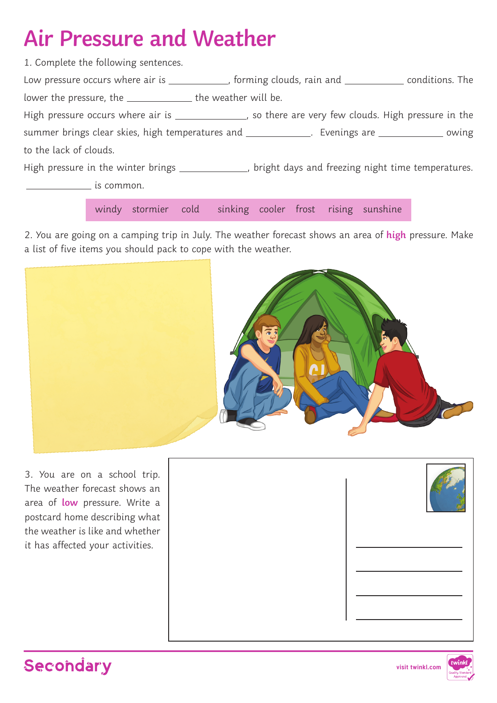## **Air Pressure and Weather**

| 1. Complete the following sentences.                           |                                                                                                       |
|----------------------------------------------------------------|-------------------------------------------------------------------------------------------------------|
|                                                                | Low pressure occurs where air is ____________, forming clouds, rain and _____________ conditions. The |
| lower the pressure, the _________________ the weather will be. |                                                                                                       |
|                                                                | High pressure occurs where air is _______________, so there are very few clouds. High pressure in the |
|                                                                | summer brings clear skies, high temperatures and _____________. Evenings are _____________ owing      |
| to the lack of clouds.                                         |                                                                                                       |
|                                                                | High pressure in the winter brings _____________, bright days and freezing night time temperatures.   |
| is common.                                                     |                                                                                                       |

windy stormier cold sinking cooler frost rising sunshine

2. You are going on a camping trip in July. The weather forecast shows an area of **high** pressure. Make a list of five items you should pack to cope with the weather.



3. You are on a school trip. The weather forecast shows an area of **low** pressure. Write a postcard home describing what the weather is like and whether it has affected your activities.